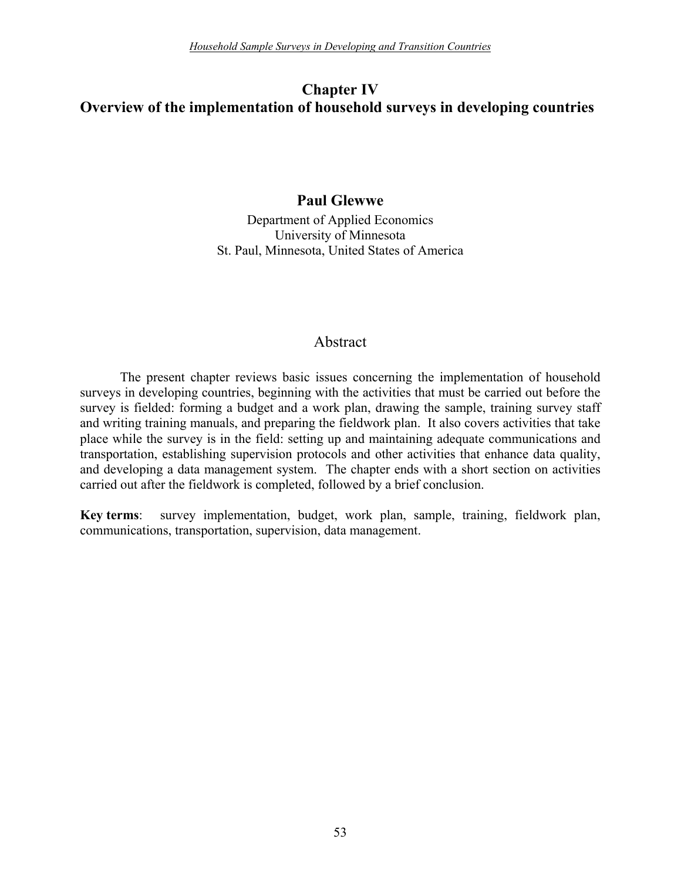# **Chapter IV Overview of the implementation of household surveys in developing countries**

### **Paul Glewwe**

Department of Applied Economics University of Minnesota St. Paul, Minnesota, United States of America

### Abstract

The present chapter reviews basic issues concerning the implementation of household surveys in developing countries, beginning with the activities that must be carried out before the survey is fielded: forming a budget and a work plan, drawing the sample, training survey staff and writing training manuals, and preparing the fieldwork plan. It also covers activities that take place while the survey is in the field: setting up and maintaining adequate communications and transportation, establishing supervision protocols and other activities that enhance data quality, and developing a data management system. The chapter ends with a short section on activities carried out after the fieldwork is completed, followed by a brief conclusion.

**Key terms**: survey implementation, budget, work plan, sample, training, fieldwork plan, communications, transportation, supervision, data management.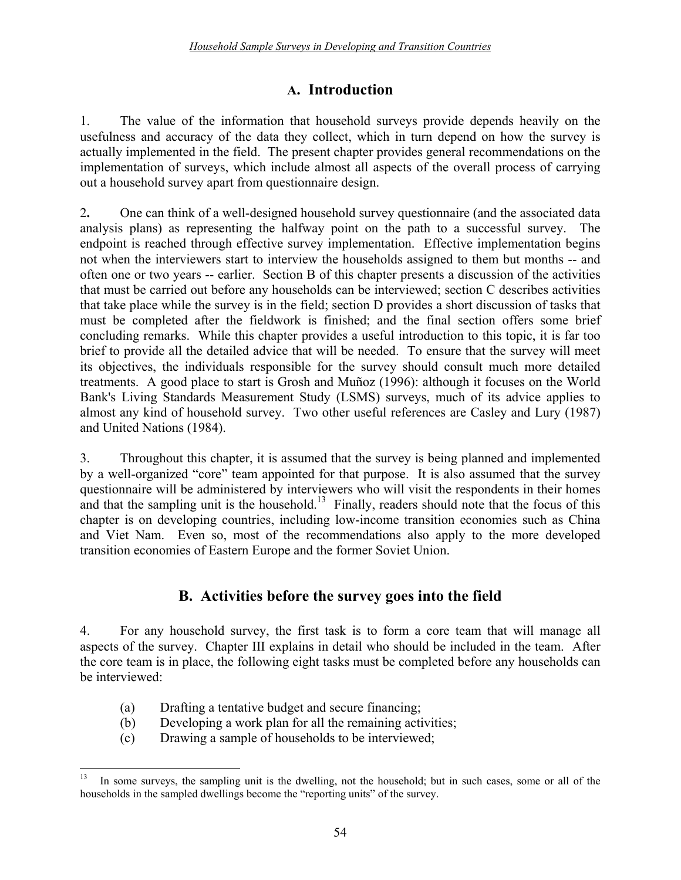# **A. Introduction**

1. The value of the information that household surveys provide depends heavily on the usefulness and accuracy of the data they collect, which in turn depend on how the survey is actually implemented in the field. The present chapter provides general recommendations on the implementation of surveys, which include almost all aspects of the overall process of carrying out a household survey apart from questionnaire design.

2**.** One can think of a well-designed household survey questionnaire (and the associated data analysis plans) as representing the halfway point on the path to a successful survey. The endpoint is reached through effective survey implementation. Effective implementation begins not when the interviewers start to interview the households assigned to them but months -- and often one or two years -- earlier. Section B of this chapter presents a discussion of the activities that must be carried out before any households can be interviewed; section C describes activities that take place while the survey is in the field; section D provides a short discussion of tasks that must be completed after the fieldwork is finished; and the final section offers some brief concluding remarks. While this chapter provides a useful introduction to this topic, it is far too brief to provide all the detailed advice that will be needed. To ensure that the survey will meet its objectives, the individuals responsible for the survey should consult much more detailed treatments. A good place to start is Grosh and Muñoz (1996): although it focuses on the World Bank's Living Standards Measurement Study (LSMS) surveys, much of its advice applies to almost any kind of household survey. Two other useful references are Casley and Lury (1987) and United Nations (1984).

3. Throughout this chapter, it is assumed that the survey is being planned and implemented by a well-organized "core" team appointed for that purpose. It is also assumed that the survey questionnaire will be administered by interviewers who will visit the respondents in their homes and that the sampling unit is the household.<sup>13</sup> Finally, readers should note that the focus of this chapter is on developing countries, including low-income transition economies such as China and Viet Nam. Even so, most of the recommendations also apply to the more developed transition economies of Eastern Europe and the former Soviet Union.

# **B. Activities before the survey goes into the field**

4. For any household survey, the first task is to form a core team that will manage all aspects of the survey. Chapter III explains in detail who should be included in the team. After the core team is in place, the following eight tasks must be completed before any households can be interviewed:

- (a) Drafting a tentative budget and secure financing;
- (b) Developing a work plan for all the remaining activities;
- (c) Drawing a sample of households to be interviewed;

<sup>1</sup> In some surveys, the sampling unit is the dwelling, not the household; but in such cases, some or all of the households in the sampled dwellings become the "reporting units" of the survey.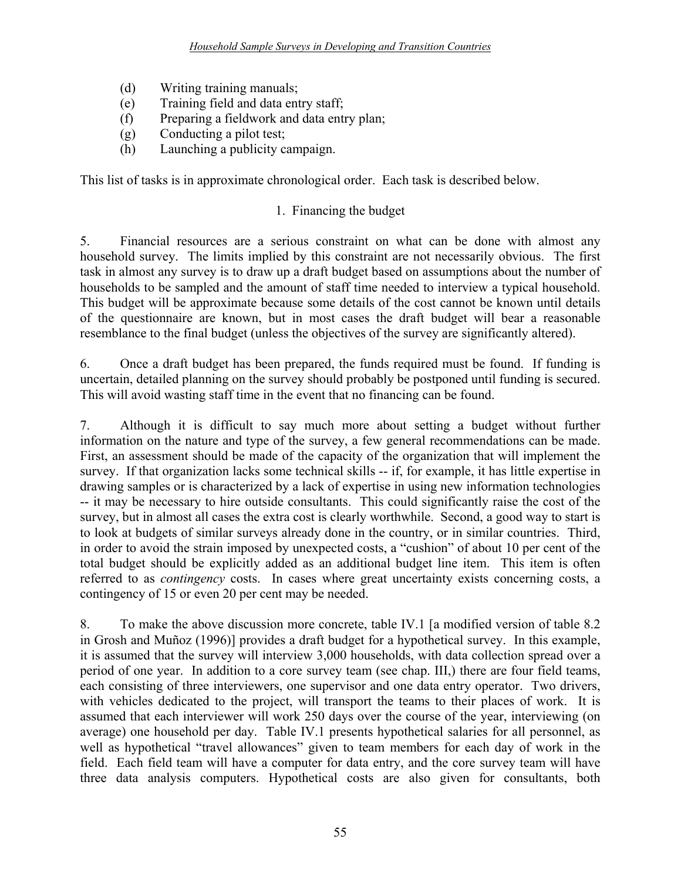- (d) Writing training manuals;
- (e) Training field and data entry staff;
- (f) Preparing a fieldwork and data entry plan;
- (g) Conducting a pilot test;
- (h) Launching a publicity campaign.

This list of tasks is in approximate chronological order. Each task is described below.

### 1. Financing the budget

5. Financial resources are a serious constraint on what can be done with almost any household survey. The limits implied by this constraint are not necessarily obvious. The first task in almost any survey is to draw up a draft budget based on assumptions about the number of households to be sampled and the amount of staff time needed to interview a typical household. This budget will be approximate because some details of the cost cannot be known until details of the questionnaire are known, but in most cases the draft budget will bear a reasonable resemblance to the final budget (unless the objectives of the survey are significantly altered).

6. Once a draft budget has been prepared, the funds required must be found. If funding is uncertain, detailed planning on the survey should probably be postponed until funding is secured. This will avoid wasting staff time in the event that no financing can be found.

7. Although it is difficult to say much more about setting a budget without further information on the nature and type of the survey, a few general recommendations can be made. First, an assessment should be made of the capacity of the organization that will implement the survey. If that organization lacks some technical skills -- if, for example, it has little expertise in drawing samples or is characterized by a lack of expertise in using new information technologies -- it may be necessary to hire outside consultants. This could significantly raise the cost of the survey, but in almost all cases the extra cost is clearly worthwhile. Second, a good way to start is to look at budgets of similar surveys already done in the country, or in similar countries. Third, in order to avoid the strain imposed by unexpected costs, a "cushion" of about 10 per cent of the total budget should be explicitly added as an additional budget line item. This item is often referred to as *contingency* costs. In cases where great uncertainty exists concerning costs, a contingency of 15 or even 20 per cent may be needed.

8. To make the above discussion more concrete, table IV.1 [a modified version of table 8.2 in Grosh and Muñoz (1996)] provides a draft budget for a hypothetical survey. In this example, it is assumed that the survey will interview 3,000 households, with data collection spread over a period of one year. In addition to a core survey team (see chap. III,) there are four field teams, each consisting of three interviewers, one supervisor and one data entry operator. Two drivers, with vehicles dedicated to the project, will transport the teams to their places of work. It is assumed that each interviewer will work 250 days over the course of the year, interviewing (on average) one household per day. Table IV.1 presents hypothetical salaries for all personnel, as well as hypothetical "travel allowances" given to team members for each day of work in the field. Each field team will have a computer for data entry, and the core survey team will have three data analysis computers. Hypothetical costs are also given for consultants, both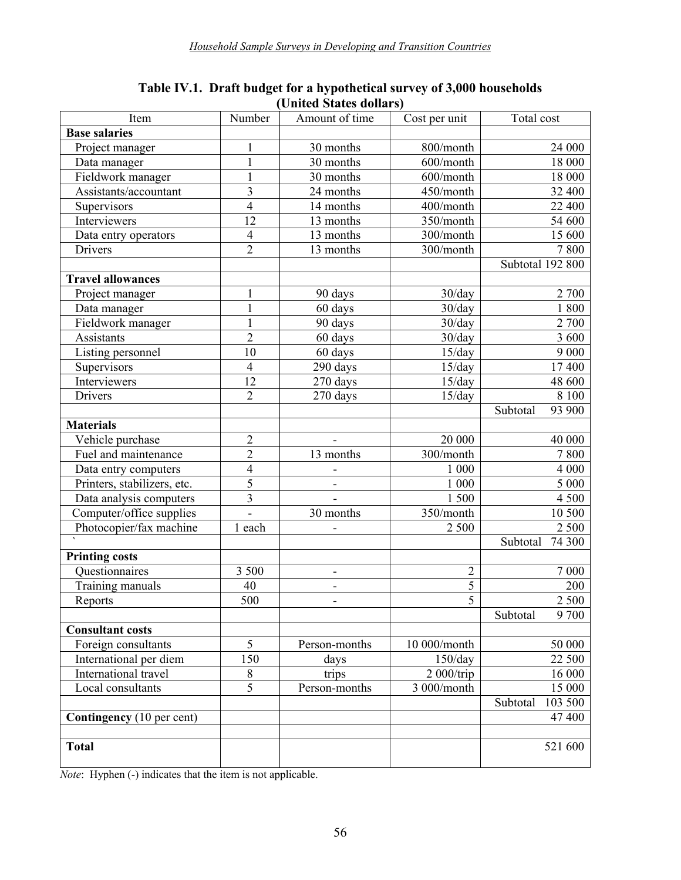| Item                        | Number                  | Amount of time               | Cost per unit           | Total cost          |  |  |  |  |  |  |
|-----------------------------|-------------------------|------------------------------|-------------------------|---------------------|--|--|--|--|--|--|
| <b>Base salaries</b>        |                         |                              |                         |                     |  |  |  |  |  |  |
| Project manager             | $\mathbf{1}$            | 30 months                    | 800/month               | 24 000              |  |  |  |  |  |  |
| Data manager                | $\mathbf{1}$            | 30 months                    | 600/month               | 18 000              |  |  |  |  |  |  |
| Fieldwork manager           | $\mathbf{1}$            | 30 months                    | 600/month               | 18 000              |  |  |  |  |  |  |
| Assistants/accountant       | $\overline{\mathbf{3}}$ | 24 months                    | 450/month               | 32 400              |  |  |  |  |  |  |
| Supervisors                 | $\overline{4}$          | 14 months                    | $\overline{400/m}$ onth | $\overline{22}$ 400 |  |  |  |  |  |  |
| Interviewers                | 12                      | 13 months                    | 350/month               | 54 600              |  |  |  |  |  |  |
| Data entry operators        | $\overline{4}$          | 13 months                    | 300/month               | 15 600              |  |  |  |  |  |  |
| <b>Drivers</b>              | $\overline{2}$          | 13 months                    | 300/month               | 7800                |  |  |  |  |  |  |
|                             |                         |                              |                         | Subtotal 192 800    |  |  |  |  |  |  |
| <b>Travel allowances</b>    |                         |                              |                         |                     |  |  |  |  |  |  |
| Project manager             | 1                       | 90 days                      | 30/day                  | 2 700               |  |  |  |  |  |  |
| Data manager                | $\mathbf{1}$            | $\overline{60}$ days         | 30/day                  | 1800                |  |  |  |  |  |  |
| Fieldwork manager           | $\mathbf{1}$            | 90 days                      | 30/day                  | 2 700               |  |  |  |  |  |  |
| Assistants                  | $\overline{c}$          | 60 days                      | 30/day                  | 3 600               |  |  |  |  |  |  |
| Listing personnel           | 10                      | 60 days                      | 15/day                  | 9 0 0 0             |  |  |  |  |  |  |
| Supervisors                 | $\overline{4}$          | 290 days                     | 15/day                  | 17 400              |  |  |  |  |  |  |
| Interviewers                | 12                      | 270 days                     | 15/day                  | 48 600              |  |  |  |  |  |  |
| <b>Drivers</b>              | $\overline{2}$          | 270 days                     | 15/day                  | 8 100               |  |  |  |  |  |  |
|                             |                         |                              |                         | Subtotal<br>93 900  |  |  |  |  |  |  |
| <b>Materials</b>            |                         |                              |                         |                     |  |  |  |  |  |  |
| Vehicle purchase            | $\sqrt{2}$              |                              | 20 000                  | 40 000              |  |  |  |  |  |  |
| Fuel and maintenance        | $\overline{2}$          | 13 months                    | 300/month               | $\frac{1}{7}800$    |  |  |  |  |  |  |
| Data entry computers        | $\overline{4}$          |                              | 1 000                   | 4 0 0 0             |  |  |  |  |  |  |
| Printers, stabilizers, etc. | $\overline{5}$          | $\qquad \qquad \blacksquare$ | $1~000\,$               | 5 000               |  |  |  |  |  |  |
| Data analysis computers     | 3                       |                              | 1500                    | 4 500               |  |  |  |  |  |  |
| Computer/office supplies    | $\blacksquare$          | 30 months                    | 350/month               | 10 500              |  |  |  |  |  |  |
| Photocopier/fax machine     | 1 each                  |                              | 2 500                   | 2 500               |  |  |  |  |  |  |
|                             |                         |                              |                         | 74 300<br>Subtotal  |  |  |  |  |  |  |
| <b>Printing costs</b>       |                         |                              |                         |                     |  |  |  |  |  |  |
| Questionnaires              | 3 500                   | ÷,                           | $\overline{c}$          | 7 000               |  |  |  |  |  |  |
| Training manuals            | 40                      |                              | 5                       | 200                 |  |  |  |  |  |  |
| Reports                     | 500                     |                              | $\overline{5}$          | 2 500               |  |  |  |  |  |  |
|                             |                         |                              |                         | Subtotal<br>9 700   |  |  |  |  |  |  |
| <b>Consultant costs</b>     |                         |                              |                         |                     |  |  |  |  |  |  |
| Foreign consultants         | 5                       | Person-months                | 10 000/month            | 50 000              |  |  |  |  |  |  |
| International per diem      | 150                     | days                         | 150/day                 | 22 500              |  |  |  |  |  |  |
| International travel        | $8\,$                   | trips                        | 2000/trip               | 16 000              |  |  |  |  |  |  |
| Local consultants           | $\overline{5}$          | Person-months                | 3 000/month             | 15 000              |  |  |  |  |  |  |
|                             |                         |                              |                         | 103 500<br>Subtotal |  |  |  |  |  |  |
| Contingency (10 per cent)   |                         |                              |                         | 47 400              |  |  |  |  |  |  |
|                             |                         |                              |                         |                     |  |  |  |  |  |  |
| <b>Total</b>                |                         |                              |                         | 521 600             |  |  |  |  |  |  |

#### **Table IV.1. Draft budget for a hypothetical survey of 3,000 households (United States dollars)**

*Note*: Hyphen (-) indicates that the item is not applicable.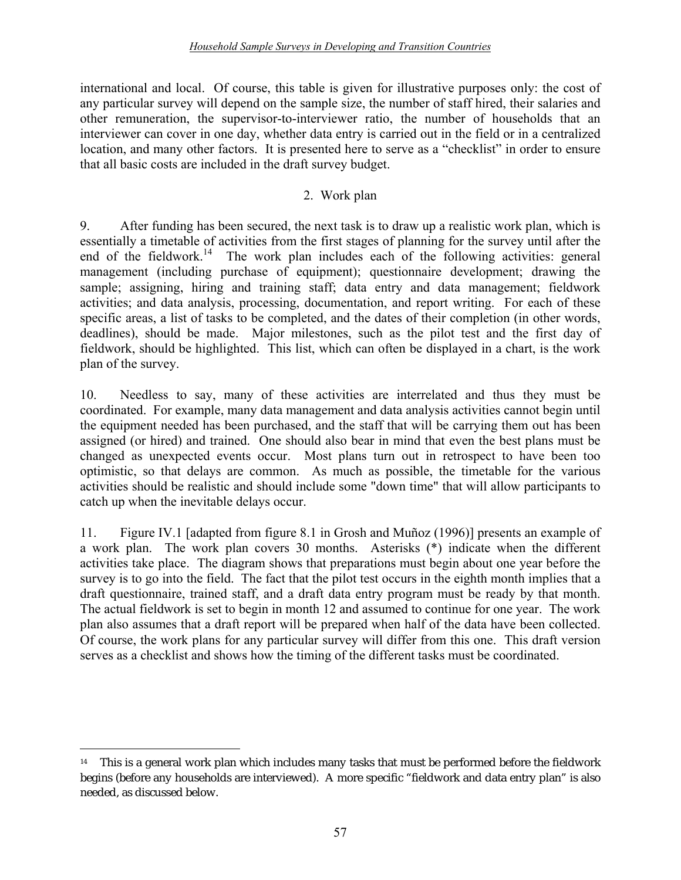international and local. Of course, this table is given for illustrative purposes only: the cost of any particular survey will depend on the sample size, the number of staff hired, their salaries and other remuneration, the supervisor-to-interviewer ratio, the number of households that an interviewer can cover in one day, whether data entry is carried out in the field or in a centralized location, and many other factors. It is presented here to serve as a "checklist" in order to ensure that all basic costs are included in the draft survey budget.

### 2. Work plan

9. After funding has been secured, the next task is to draw up a realistic work plan, which is essentially a timetable of activities from the first stages of planning for the survey until after the end of the fieldwork.<sup>14</sup> The work plan includes each of the following activities: general management (including purchase of equipment); questionnaire development; drawing the sample; assigning, hiring and training staff; data entry and data management; fieldwork activities; and data analysis, processing, documentation, and report writing. For each of these specific areas, a list of tasks to be completed, and the dates of their completion (in other words, deadlines), should be made. Major milestones, such as the pilot test and the first day of fieldwork, should be highlighted. This list, which can often be displayed in a chart, is the work plan of the survey.

10. Needless to say, many of these activities are interrelated and thus they must be coordinated. For example, many data management and data analysis activities cannot begin until the equipment needed has been purchased, and the staff that will be carrying them out has been assigned (or hired) and trained. One should also bear in mind that even the best plans must be changed as unexpected events occur. Most plans turn out in retrospect to have been too optimistic, so that delays are common. As much as possible, the timetable for the various activities should be realistic and should include some "down time" that will allow participants to catch up when the inevitable delays occur.

11. Figure IV.1 [adapted from figure 8.1 in Grosh and Muñoz (1996)] presents an example of a work plan. The work plan covers 30 months. Asterisks (\*) indicate when the different activities take place. The diagram shows that preparations must begin about one year before the survey is to go into the field. The fact that the pilot test occurs in the eighth month implies that a draft questionnaire, trained staff, and a draft data entry program must be ready by that month. The actual fieldwork is set to begin in month 12 and assumed to continue for one year. The work plan also assumes that a draft report will be prepared when half of the data have been collected. Of course, the work plans for any particular survey will differ from this one. This draft version serves as a checklist and shows how the timing of the different tasks must be coordinated.

 $\overline{a}$ 

<sup>&</sup>lt;sup>14</sup> This is a general work plan which includes many tasks that must be performed before the fieldwork begins (before any households are interviewed). A more specific "fieldwork and data entry plan" is also needed, as discussed below.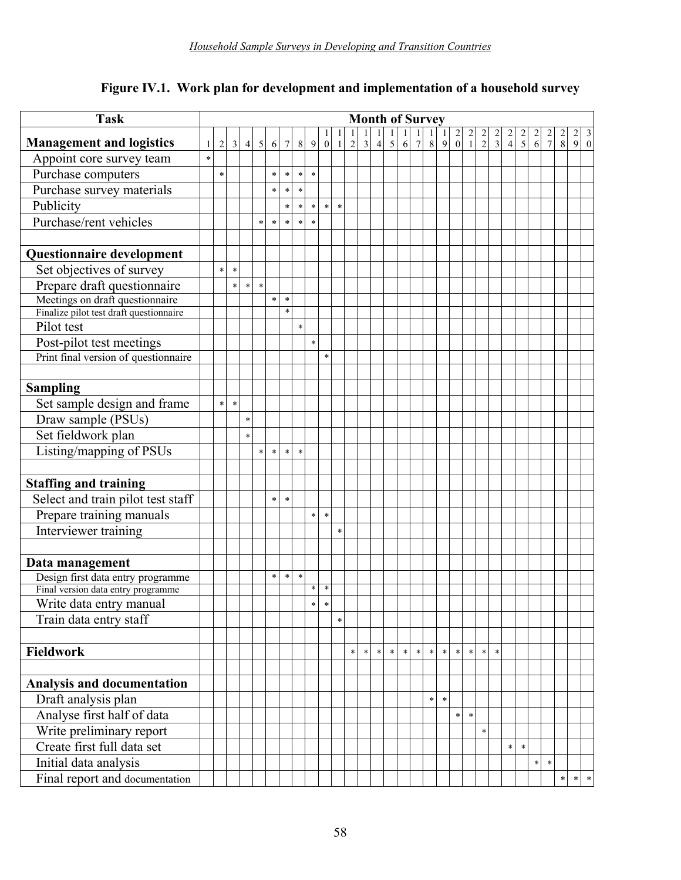| <b>Task</b>                                                             | <b>Month of Survey</b> |            |                |                |            |        |                |         |              |                  |              |            |                |                |              |              |                |                |              |                                        |                                       |               |               |               |                                       |                                      |             |               |        |                                                |
|-------------------------------------------------------------------------|------------------------|------------|----------------|----------------|------------|--------|----------------|---------|--------------|------------------|--------------|------------|----------------|----------------|--------------|--------------|----------------|----------------|--------------|----------------------------------------|---------------------------------------|---------------|---------------|---------------|---------------------------------------|--------------------------------------|-------------|---------------|--------|------------------------------------------------|
|                                                                         |                        |            |                |                |            |        |                |         |              |                  | $\mathbf{I}$ |            | $\mathbf{1}$   |                | $\mathbf{1}$ | $\mathbf{1}$ | $\mathbf{1}$   | $\overline{1}$ | $\mathbf{1}$ | $\begin{bmatrix} 2 \\ 0 \end{bmatrix}$ | $\begin{array}{c} 2 \\ 1 \end{array}$ | $\frac{2}{2}$ | $\frac{2}{3}$ | $\frac{2}{4}$ | $\begin{array}{c} 2 \\ 5 \end{array}$ | $\begin{matrix} 2 \\ 6 \end{matrix}$ | $rac{2}{7}$ | $\frac{2}{8}$ |        | $\begin{bmatrix} 2 & 3 \\ 9 & 0 \end{bmatrix}$ |
| <b>Management and logistics</b>                                         | 1<br>$\ast$            | $\sqrt{2}$ | $\overline{3}$ | $\overline{4}$ | $\sqrt{5}$ | 6      | $\overline{7}$ | $\,8\,$ | $\mathbf{9}$ | $\boldsymbol{0}$ | $\mathbf{1}$ | $\sqrt{2}$ | $\mathfrak{Z}$ | $\overline{4}$ | $\sqrt{5}$   | 6            | $7\overline{}$ | $\,8\,$        | 9            |                                        |                                       |               |               |               |                                       |                                      |             |               |        |                                                |
| Appoint core survey team                                                |                        |            |                |                |            |        |                |         |              |                  |              |            |                |                |              |              |                |                |              |                                        |                                       |               |               |               |                                       |                                      |             |               |        |                                                |
| Purchase computers                                                      |                        | $\ast$     |                |                |            | $\ast$ | $\ast$         | $\ast$  | $\ast$       |                  |              |            |                |                |              |              |                |                |              |                                        |                                       |               |               |               |                                       |                                      |             |               |        |                                                |
| Purchase survey materials                                               |                        |            |                |                |            | $\ast$ | $\star$        | $\ast$  |              |                  |              |            |                |                |              |              |                |                |              |                                        |                                       |               |               |               |                                       |                                      |             |               |        |                                                |
| Publicity                                                               |                        |            |                |                |            |        | $\ast$         | $\ast$  | $\ast$       | $\ast$           | $\ast$       |            |                |                |              |              |                |                |              |                                        |                                       |               |               |               |                                       |                                      |             |               |        |                                                |
| Purchase/rent vehicles                                                  |                        |            |                |                | $\ast$     | $\ast$ | $\ast$         | $\ast$  | $\ast$       |                  |              |            |                |                |              |              |                |                |              |                                        |                                       |               |               |               |                                       |                                      |             |               |        |                                                |
|                                                                         |                        |            |                |                |            |        |                |         |              |                  |              |            |                |                |              |              |                |                |              |                                        |                                       |               |               |               |                                       |                                      |             |               |        |                                                |
| Questionnaire development                                               |                        |            |                |                |            |        |                |         |              |                  |              |            |                |                |              |              |                |                |              |                                        |                                       |               |               |               |                                       |                                      |             |               |        |                                                |
| Set objectives of survey                                                |                        | $\ast$     | $\ast$         |                |            |        |                |         |              |                  |              |            |                |                |              |              |                |                |              |                                        |                                       |               |               |               |                                       |                                      |             |               |        |                                                |
| Prepare draft questionnaire                                             |                        |            | $\ast$         | $\ast$         | $\star$    |        |                |         |              |                  |              |            |                |                |              |              |                |                |              |                                        |                                       |               |               |               |                                       |                                      |             |               |        |                                                |
| Meetings on draft questionnaire                                         |                        |            |                |                |            | $\ast$ | $\ast$         |         |              |                  |              |            |                |                |              |              |                |                |              |                                        |                                       |               |               |               |                                       |                                      |             |               |        |                                                |
| Finalize pilot test draft questionnaire                                 |                        |            |                |                |            |        | $\ast$         |         |              |                  |              |            |                |                |              |              |                |                |              |                                        |                                       |               |               |               |                                       |                                      |             |               |        |                                                |
| Pilot test                                                              |                        |            |                |                |            |        |                | $\ast$  |              |                  |              |            |                |                |              |              |                |                |              |                                        |                                       |               |               |               |                                       |                                      |             |               |        |                                                |
| Post-pilot test meetings                                                |                        |            |                |                |            |        |                |         | $\star$      |                  |              |            |                |                |              |              |                |                |              |                                        |                                       |               |               |               |                                       |                                      |             |               |        |                                                |
| Print final version of questionnaire                                    |                        |            |                |                |            |        |                |         |              | $\ast$           |              |            |                |                |              |              |                |                |              |                                        |                                       |               |               |               |                                       |                                      |             |               |        |                                                |
|                                                                         |                        |            |                |                |            |        |                |         |              |                  |              |            |                |                |              |              |                |                |              |                                        |                                       |               |               |               |                                       |                                      |             |               |        |                                                |
| <b>Sampling</b>                                                         |                        |            |                |                |            |        |                |         |              |                  |              |            |                |                |              |              |                |                |              |                                        |                                       |               |               |               |                                       |                                      |             |               |        |                                                |
| Set sample design and frame                                             |                        | *.         | $\star$        |                |            |        |                |         |              |                  |              |            |                |                |              |              |                |                |              |                                        |                                       |               |               |               |                                       |                                      |             |               |        |                                                |
| Draw sample (PSUs)                                                      |                        |            |                | $\ast$         |            |        |                |         |              |                  |              |            |                |                |              |              |                |                |              |                                        |                                       |               |               |               |                                       |                                      |             |               |        |                                                |
| Set fieldwork plan                                                      |                        |            |                | $\ast$         |            |        |                |         |              |                  |              |            |                |                |              |              |                |                |              |                                        |                                       |               |               |               |                                       |                                      |             |               |        |                                                |
| Listing/mapping of PSUs                                                 |                        |            |                |                | $\ast$     | $\ast$ | $\ast$         | $\ast$  |              |                  |              |            |                |                |              |              |                |                |              |                                        |                                       |               |               |               |                                       |                                      |             |               |        |                                                |
|                                                                         |                        |            |                |                |            |        |                |         |              |                  |              |            |                |                |              |              |                |                |              |                                        |                                       |               |               |               |                                       |                                      |             |               |        |                                                |
| <b>Staffing and training</b>                                            |                        |            |                |                |            |        |                |         |              |                  |              |            |                |                |              |              |                |                |              |                                        |                                       |               |               |               |                                       |                                      |             |               |        |                                                |
| Select and train pilot test staff                                       |                        |            |                |                |            | $\ast$ | $\ast$         |         |              |                  |              |            |                |                |              |              |                |                |              |                                        |                                       |               |               |               |                                       |                                      |             |               |        |                                                |
| Prepare training manuals                                                |                        |            |                |                |            |        |                |         | $\ast$       | $\ast$           |              |            |                |                |              |              |                |                |              |                                        |                                       |               |               |               |                                       |                                      |             |               |        |                                                |
| Interviewer training                                                    |                        |            |                |                |            |        |                |         |              |                  | $\ast$       |            |                |                |              |              |                |                |              |                                        |                                       |               |               |               |                                       |                                      |             |               |        |                                                |
|                                                                         |                        |            |                |                |            |        |                |         |              |                  |              |            |                |                |              |              |                |                |              |                                        |                                       |               |               |               |                                       |                                      |             |               |        |                                                |
|                                                                         |                        |            |                |                |            |        |                |         |              |                  |              |            |                |                |              |              |                |                |              |                                        |                                       |               |               |               |                                       |                                      |             |               |        |                                                |
| Data management                                                         |                        |            |                |                |            | $\ast$ | $\ast$         | $\ast$  |              |                  |              |            |                |                |              |              |                |                |              |                                        |                                       |               |               |               |                                       |                                      |             |               |        |                                                |
| Design first data entry programme<br>Final version data entry programme |                        |            |                |                |            |        |                |         | $\ast$       | $\ast$           |              |            |                |                |              |              |                |                |              |                                        |                                       |               |               |               |                                       |                                      |             |               |        |                                                |
| Write data entry manual                                                 |                        |            |                |                |            |        |                |         | $\ast$       | $\ast$           |              |            |                |                |              |              |                |                |              |                                        |                                       |               |               |               |                                       |                                      |             |               |        |                                                |
| Train data entry staff                                                  |                        |            |                |                |            |        |                |         |              |                  | $\ast$       |            |                |                |              |              |                |                |              |                                        |                                       |               |               |               |                                       |                                      |             |               |        |                                                |
|                                                                         |                        |            |                |                |            |        |                |         |              |                  |              |            |                |                |              |              |                |                |              |                                        |                                       |               |               |               |                                       |                                      |             |               |        |                                                |
|                                                                         |                        |            |                |                |            |        |                |         |              |                  |              | $\ast$     | $\ast$         | $\ast$         | $\ast$       | $\ast$       | $\ast$         | $\ast$         | $\ast$       | $\star$                                | $\ast$                                | $\star$       | $\ast$        |               |                                       |                                      |             |               |        |                                                |
| Fieldwork                                                               |                        |            |                |                |            |        |                |         |              |                  |              |            |                |                |              |              |                |                |              |                                        |                                       |               |               |               |                                       |                                      |             |               |        |                                                |
|                                                                         |                        |            |                |                |            |        |                |         |              |                  |              |            |                |                |              |              |                |                |              |                                        |                                       |               |               |               |                                       |                                      |             |               |        |                                                |
| <b>Analysis and documentation</b>                                       |                        |            |                |                |            |        |                |         |              |                  |              |            |                |                |              |              |                |                |              |                                        |                                       |               |               |               |                                       |                                      |             |               |        |                                                |
| Draft analysis plan                                                     |                        |            |                |                |            |        |                |         |              |                  |              |            |                |                |              |              |                | $\star$        | $\ast$       |                                        |                                       |               |               |               |                                       |                                      |             |               |        |                                                |
| Analyse first half of data                                              |                        |            |                |                |            |        |                |         |              |                  |              |            |                |                |              |              |                |                |              | $\ast$                                 | $\ast$                                |               |               |               |                                       |                                      |             |               |        |                                                |
| Write preliminary report                                                |                        |            |                |                |            |        |                |         |              |                  |              |            |                |                |              |              |                |                |              |                                        |                                       | $\ast$        |               |               |                                       |                                      |             |               |        |                                                |
| Create first full data set                                              |                        |            |                |                |            |        |                |         |              |                  |              |            |                |                |              |              |                |                |              |                                        |                                       |               |               | $\ast$        | $\ast$                                |                                      |             |               |        |                                                |
| Initial data analysis                                                   |                        |            |                |                |            |        |                |         |              |                  |              |            |                |                |              |              |                |                |              |                                        |                                       |               |               |               |                                       | $\ast$                               | $\ast$      |               |        |                                                |
| Final report and documentation                                          |                        |            |                |                |            |        |                |         |              |                  |              |            |                |                |              |              |                |                |              |                                        |                                       |               |               |               |                                       |                                      |             | $\ast$        | $\ast$ | $\ast$                                         |

# **Figure IV.1. Work plan for development and implementation of a household survey**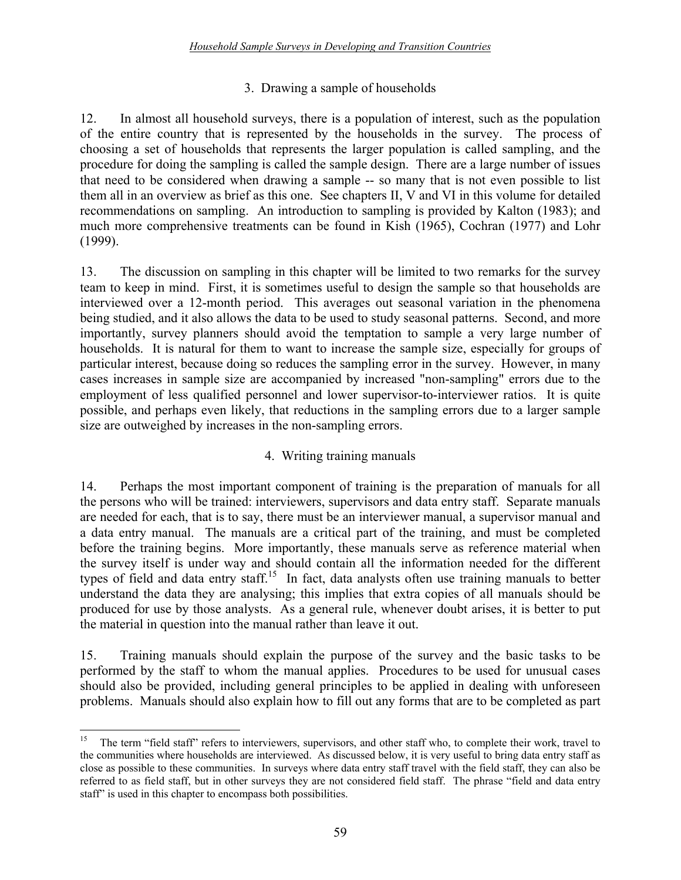### 3. Drawing a sample of households

12. In almost all household surveys, there is a population of interest, such as the population of the entire country that is represented by the households in the survey. The process of choosing a set of households that represents the larger population is called sampling, and the procedure for doing the sampling is called the sample design. There are a large number of issues that need to be considered when drawing a sample -- so many that is not even possible to list them all in an overview as brief as this one. See chapters II, V and VI in this volume for detailed recommendations on sampling. An introduction to sampling is provided by Kalton (1983); and much more comprehensive treatments can be found in Kish (1965), Cochran (1977) and Lohr (1999).

13. The discussion on sampling in this chapter will be limited to two remarks for the survey team to keep in mind. First, it is sometimes useful to design the sample so that households are interviewed over a 12-month period. This averages out seasonal variation in the phenomena being studied, and it also allows the data to be used to study seasonal patterns. Second, and more importantly, survey planners should avoid the temptation to sample a very large number of households. It is natural for them to want to increase the sample size, especially for groups of particular interest, because doing so reduces the sampling error in the survey. However, in many cases increases in sample size are accompanied by increased "non-sampling" errors due to the employment of less qualified personnel and lower supervisor-to-interviewer ratios. It is quite possible, and perhaps even likely, that reductions in the sampling errors due to a larger sample size are outweighed by increases in the non-sampling errors.

### 4. Writing training manuals

14. Perhaps the most important component of training is the preparation of manuals for all the persons who will be trained: interviewers, supervisors and data entry staff. Separate manuals are needed for each, that is to say, there must be an interviewer manual, a supervisor manual and a data entry manual. The manuals are a critical part of the training, and must be completed before the training begins. More importantly, these manuals serve as reference material when the survey itself is under way and should contain all the information needed for the different types of field and data entry staff.<sup>15</sup> In fact, data analysts often use training manuals to better understand the data they are analysing; this implies that extra copies of all manuals should be produced for use by those analysts. As a general rule, whenever doubt arises, it is better to put the material in question into the manual rather than leave it out.

15. Training manuals should explain the purpose of the survey and the basic tasks to be performed by the staff to whom the manual applies. Procedures to be used for unusual cases should also be provided, including general principles to be applied in dealing with unforeseen problems. Manuals should also explain how to fill out any forms that are to be completed as part

 $15\,$ The term "field staff" refers to interviewers, supervisors, and other staff who, to complete their work, travel to the communities where households are interviewed. As discussed below, it is very useful to bring data entry staff as close as possible to these communities. In surveys where data entry staff travel with the field staff, they can also be referred to as field staff, but in other surveys they are not considered field staff. The phrase "field and data entry staff" is used in this chapter to encompass both possibilities.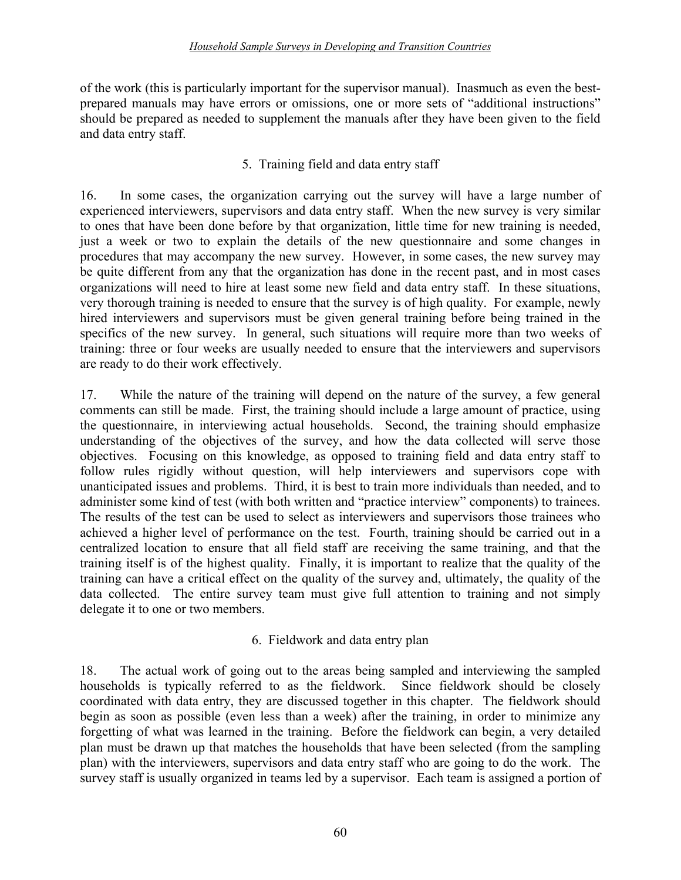#### *Household Sample Surveys in Developing and Transition Countries*

of the work (this is particularly important for the supervisor manual). Inasmuch as even the bestprepared manuals may have errors or omissions, one or more sets of "additional instructions" should be prepared as needed to supplement the manuals after they have been given to the field and data entry staff.

#### 5. Training field and data entry staff

16. In some cases, the organization carrying out the survey will have a large number of experienced interviewers, supervisors and data entry staff. When the new survey is very similar to ones that have been done before by that organization, little time for new training is needed, just a week or two to explain the details of the new questionnaire and some changes in procedures that may accompany the new survey. However, in some cases, the new survey may be quite different from any that the organization has done in the recent past, and in most cases organizations will need to hire at least some new field and data entry staff. In these situations, very thorough training is needed to ensure that the survey is of high quality. For example, newly hired interviewers and supervisors must be given general training before being trained in the specifics of the new survey. In general, such situations will require more than two weeks of training: three or four weeks are usually needed to ensure that the interviewers and supervisors are ready to do their work effectively.

17. While the nature of the training will depend on the nature of the survey, a few general comments can still be made. First, the training should include a large amount of practice, using the questionnaire, in interviewing actual households. Second, the training should emphasize understanding of the objectives of the survey, and how the data collected will serve those objectives. Focusing on this knowledge, as opposed to training field and data entry staff to follow rules rigidly without question, will help interviewers and supervisors cope with unanticipated issues and problems. Third, it is best to train more individuals than needed, and to administer some kind of test (with both written and "practice interview" components) to trainees. The results of the test can be used to select as interviewers and supervisors those trainees who achieved a higher level of performance on the test. Fourth, training should be carried out in a centralized location to ensure that all field staff are receiving the same training, and that the training itself is of the highest quality. Finally, it is important to realize that the quality of the training can have a critical effect on the quality of the survey and, ultimately, the quality of the data collected. The entire survey team must give full attention to training and not simply delegate it to one or two members.

#### 6. Fieldwork and data entry plan

18. The actual work of going out to the areas being sampled and interviewing the sampled households is typically referred to as the fieldwork. Since fieldwork should be closely coordinated with data entry, they are discussed together in this chapter. The fieldwork should begin as soon as possible (even less than a week) after the training, in order to minimize any forgetting of what was learned in the training. Before the fieldwork can begin, a very detailed plan must be drawn up that matches the households that have been selected (from the sampling plan) with the interviewers, supervisors and data entry staff who are going to do the work. The survey staff is usually organized in teams led by a supervisor. Each team is assigned a portion of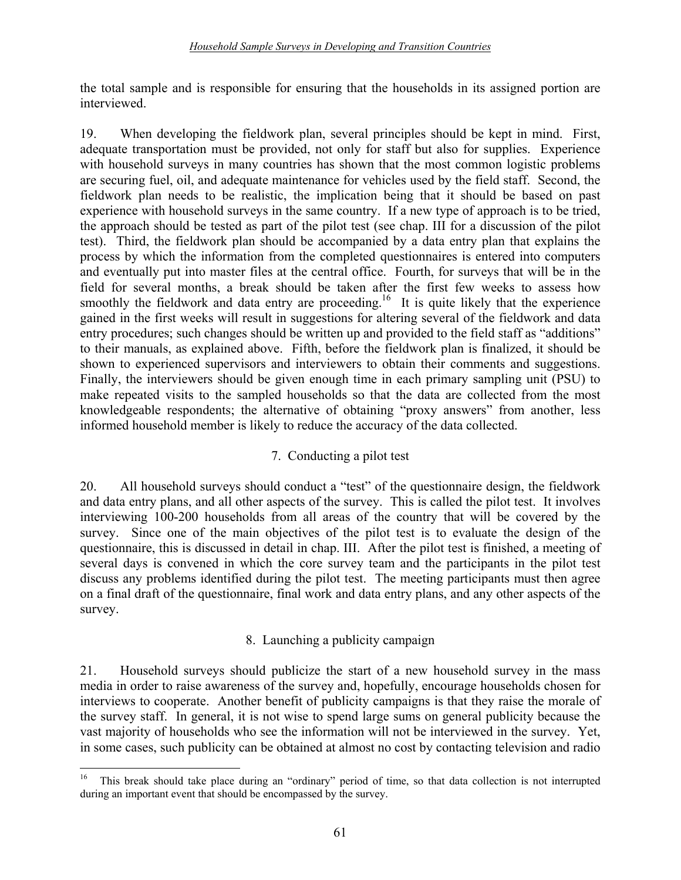the total sample and is responsible for ensuring that the households in its assigned portion are interviewed.

19. When developing the fieldwork plan, several principles should be kept in mind. First, adequate transportation must be provided, not only for staff but also for supplies. Experience with household surveys in many countries has shown that the most common logistic problems are securing fuel, oil, and adequate maintenance for vehicles used by the field staff. Second, the fieldwork plan needs to be realistic, the implication being that it should be based on past experience with household surveys in the same country. If a new type of approach is to be tried, the approach should be tested as part of the pilot test (see chap. III for a discussion of the pilot test). Third, the fieldwork plan should be accompanied by a data entry plan that explains the process by which the information from the completed questionnaires is entered into computers and eventually put into master files at the central office. Fourth, for surveys that will be in the field for several months, a break should be taken after the first few weeks to assess how smoothly the fieldwork and data entry are proceeding.<sup>16</sup> It is quite likely that the experience gained in the first weeks will result in suggestions for altering several of the fieldwork and data entry procedures; such changes should be written up and provided to the field staff as "additions" to their manuals, as explained above. Fifth, before the fieldwork plan is finalized, it should be shown to experienced supervisors and interviewers to obtain their comments and suggestions. Finally, the interviewers should be given enough time in each primary sampling unit (PSU) to make repeated visits to the sampled households so that the data are collected from the most knowledgeable respondents; the alternative of obtaining "proxy answers" from another, less informed household member is likely to reduce the accuracy of the data collected.

### 7. Conducting a pilot test

20. All household surveys should conduct a "test" of the questionnaire design, the fieldwork and data entry plans, and all other aspects of the survey. This is called the pilot test. It involves interviewing 100-200 households from all areas of the country that will be covered by the survey. Since one of the main objectives of the pilot test is to evaluate the design of the questionnaire, this is discussed in detail in chap. III. After the pilot test is finished, a meeting of several days is convened in which the core survey team and the participants in the pilot test discuss any problems identified during the pilot test. The meeting participants must then agree on a final draft of the questionnaire, final work and data entry plans, and any other aspects of the survey.

### 8. Launching a publicity campaign

21. Household surveys should publicize the start of a new household survey in the mass media in order to raise awareness of the survey and, hopefully, encourage households chosen for interviews to cooperate. Another benefit of publicity campaigns is that they raise the morale of the survey staff. In general, it is not wise to spend large sums on general publicity because the vast majority of households who see the information will not be interviewed in the survey. Yet, in some cases, such publicity can be obtained at almost no cost by contacting television and radio

 $16\,$ This break should take place during an "ordinary" period of time, so that data collection is not interrupted during an important event that should be encompassed by the survey.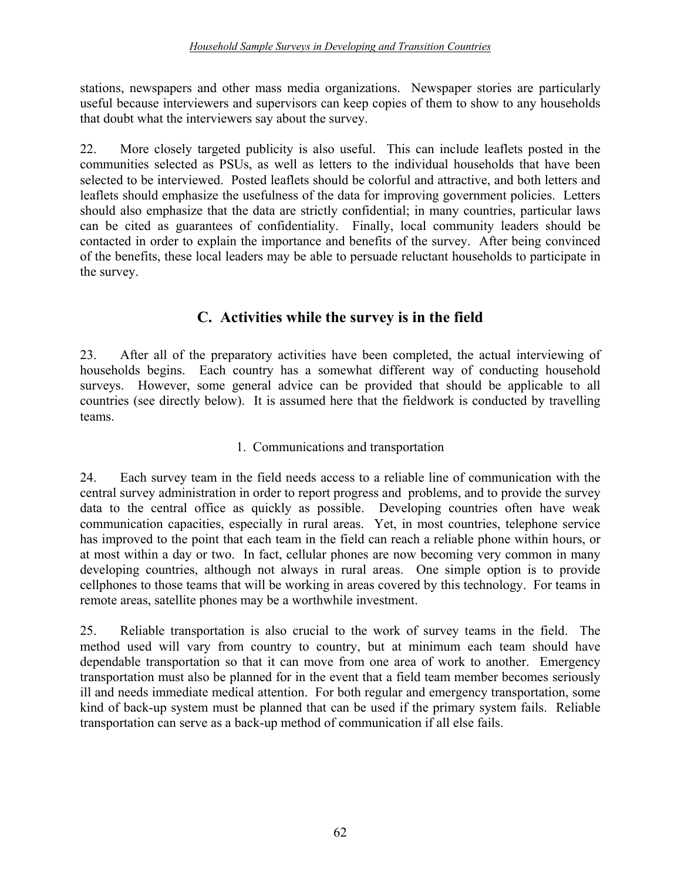stations, newspapers and other mass media organizations. Newspaper stories are particularly useful because interviewers and supervisors can keep copies of them to show to any households that doubt what the interviewers say about the survey.

22. More closely targeted publicity is also useful. This can include leaflets posted in the communities selected as PSUs, as well as letters to the individual households that have been selected to be interviewed. Posted leaflets should be colorful and attractive, and both letters and leaflets should emphasize the usefulness of the data for improving government policies. Letters should also emphasize that the data are strictly confidential; in many countries, particular laws can be cited as guarantees of confidentiality. Finally, local community leaders should be contacted in order to explain the importance and benefits of the survey. After being convinced of the benefits, these local leaders may be able to persuade reluctant households to participate in the survey.

# **C. Activities while the survey is in the field**

23. After all of the preparatory activities have been completed, the actual interviewing of households begins. Each country has a somewhat different way of conducting household surveys. However, some general advice can be provided that should be applicable to all countries (see directly below). It is assumed here that the fieldwork is conducted by travelling teams.

### 1. Communications and transportation

24. Each survey team in the field needs access to a reliable line of communication with the central survey administration in order to report progress and problems, and to provide the survey data to the central office as quickly as possible. Developing countries often have weak communication capacities, especially in rural areas. Yet, in most countries, telephone service has improved to the point that each team in the field can reach a reliable phone within hours, or at most within a day or two. In fact, cellular phones are now becoming very common in many developing countries, although not always in rural areas. One simple option is to provide cellphones to those teams that will be working in areas covered by this technology. For teams in remote areas, satellite phones may be a worthwhile investment.

25. Reliable transportation is also crucial to the work of survey teams in the field. The method used will vary from country to country, but at minimum each team should have dependable transportation so that it can move from one area of work to another. Emergency transportation must also be planned for in the event that a field team member becomes seriously ill and needs immediate medical attention. For both regular and emergency transportation, some kind of back-up system must be planned that can be used if the primary system fails. Reliable transportation can serve as a back-up method of communication if all else fails.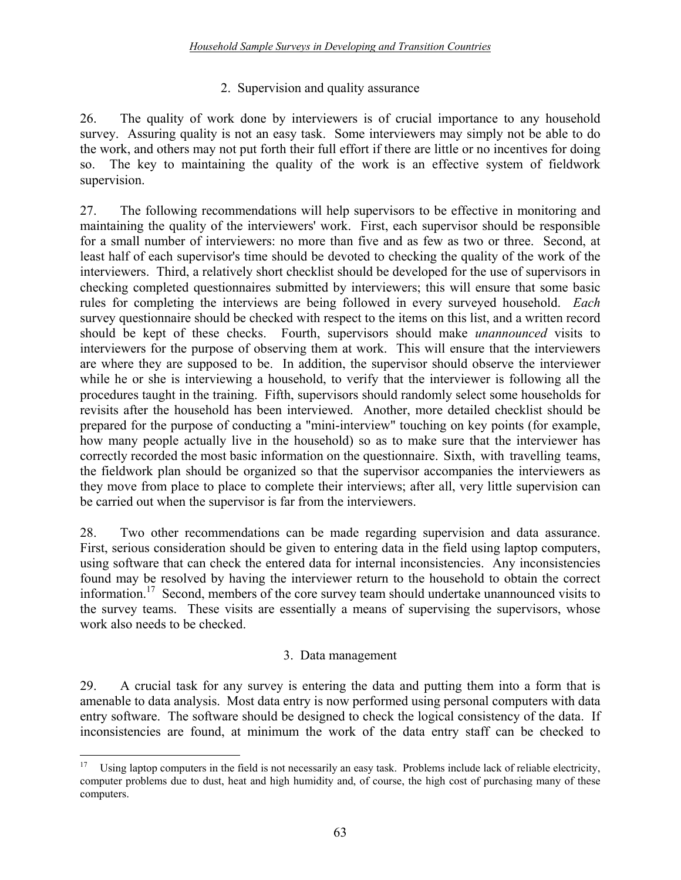#### 2. Supervision and quality assurance

26. The quality of work done by interviewers is of crucial importance to any household survey. Assuring quality is not an easy task. Some interviewers may simply not be able to do the work, and others may not put forth their full effort if there are little or no incentives for doing so. The key to maintaining the quality of the work is an effective system of fieldwork supervision.

27. The following recommendations will help supervisors to be effective in monitoring and maintaining the quality of the interviewers' work. First, each supervisor should be responsible for a small number of interviewers: no more than five and as few as two or three. Second, at least half of each supervisor's time should be devoted to checking the quality of the work of the interviewers. Third, a relatively short checklist should be developed for the use of supervisors in checking completed questionnaires submitted by interviewers; this will ensure that some basic rules for completing the interviews are being followed in every surveyed household. *Each* survey questionnaire should be checked with respect to the items on this list, and a written record should be kept of these checks. Fourth, supervisors should make *unannounced* visits to interviewers for the purpose of observing them at work. This will ensure that the interviewers are where they are supposed to be. In addition, the supervisor should observe the interviewer while he or she is interviewing a household, to verify that the interviewer is following all the procedures taught in the training. Fifth, supervisors should randomly select some households for revisits after the household has been interviewed. Another, more detailed checklist should be prepared for the purpose of conducting a "mini-interview" touching on key points (for example, how many people actually live in the household) so as to make sure that the interviewer has correctly recorded the most basic information on the questionnaire. Sixth, with travelling teams, the fieldwork plan should be organized so that the supervisor accompanies the interviewers as they move from place to place to complete their interviews; after all, very little supervision can be carried out when the supervisor is far from the interviewers.

28. Two other recommendations can be made regarding supervision and data assurance. First, serious consideration should be given to entering data in the field using laptop computers, using software that can check the entered data for internal inconsistencies. Any inconsistencies found may be resolved by having the interviewer return to the household to obtain the correct information.17 Second, members of the core survey team should undertake unannounced visits to the survey teams. These visits are essentially a means of supervising the supervisors, whose work also needs to be checked.

#### 3. Data management

29. A crucial task for any survey is entering the data and putting them into a form that is amenable to data analysis. Most data entry is now performed using personal computers with data entry software. The software should be designed to check the logical consistency of the data. If inconsistencies are found, at minimum the work of the data entry staff can be checked to

 $17\,$ Using laptop computers in the field is not necessarily an easy task. Problems include lack of reliable electricity, computer problems due to dust, heat and high humidity and, of course, the high cost of purchasing many of these computers.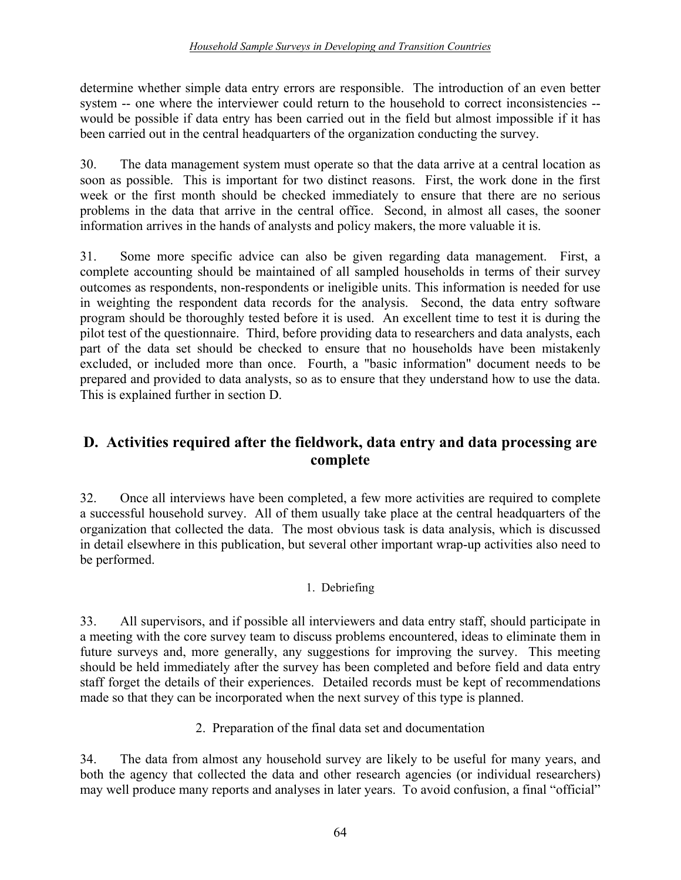#### *Household Sample Surveys in Developing and Transition Countries*

determine whether simple data entry errors are responsible. The introduction of an even better system -- one where the interviewer could return to the household to correct inconsistencies - would be possible if data entry has been carried out in the field but almost impossible if it has been carried out in the central headquarters of the organization conducting the survey.

30. The data management system must operate so that the data arrive at a central location as soon as possible. This is important for two distinct reasons. First, the work done in the first week or the first month should be checked immediately to ensure that there are no serious problems in the data that arrive in the central office. Second, in almost all cases, the sooner information arrives in the hands of analysts and policy makers, the more valuable it is.

31. Some more specific advice can also be given regarding data management. First, a complete accounting should be maintained of all sampled households in terms of their survey outcomes as respondents, non-respondents or ineligible units. This information is needed for use in weighting the respondent data records for the analysis. Second, the data entry software program should be thoroughly tested before it is used. An excellent time to test it is during the pilot test of the questionnaire. Third, before providing data to researchers and data analysts, each part of the data set should be checked to ensure that no households have been mistakenly excluded, or included more than once. Fourth, a "basic information" document needs to be prepared and provided to data analysts, so as to ensure that they understand how to use the data. This is explained further in section D.

# **D. Activities required after the fieldwork, data entry and data processing are complete**

32. Once all interviews have been completed, a few more activities are required to complete a successful household survey. All of them usually take place at the central headquarters of the organization that collected the data. The most obvious task is data analysis, which is discussed in detail elsewhere in this publication, but several other important wrap-up activities also need to be performed.

#### 1. Debriefing

33. All supervisors, and if possible all interviewers and data entry staff, should participate in a meeting with the core survey team to discuss problems encountered, ideas to eliminate them in future surveys and, more generally, any suggestions for improving the survey. This meeting should be held immediately after the survey has been completed and before field and data entry staff forget the details of their experiences. Detailed records must be kept of recommendations made so that they can be incorporated when the next survey of this type is planned.

2. Preparation of the final data set and documentation

34. The data from almost any household survey are likely to be useful for many years, and both the agency that collected the data and other research agencies (or individual researchers) may well produce many reports and analyses in later years. To avoid confusion, a final "official"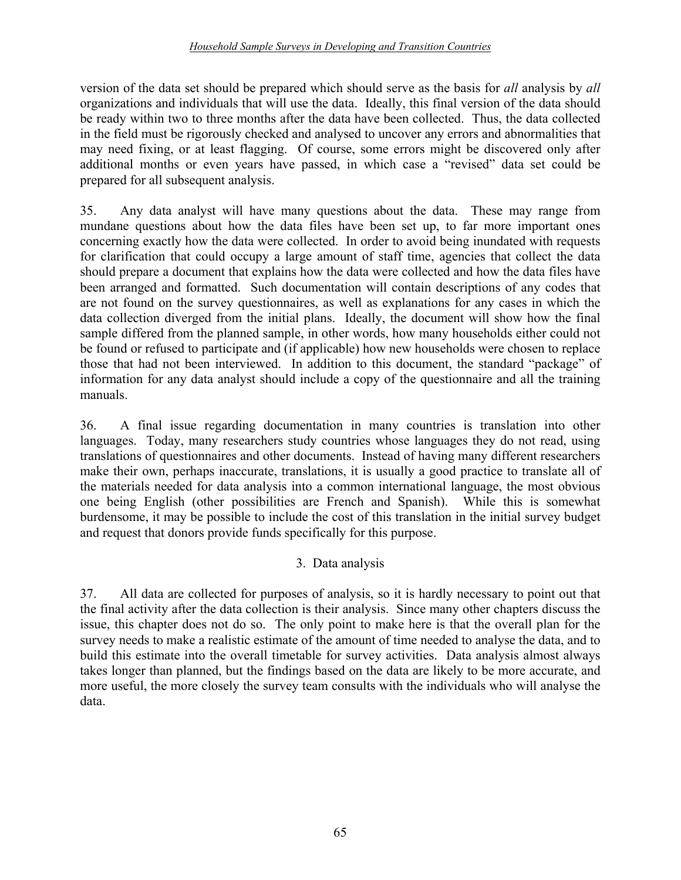#### *Household Sample Surveys in Developing and Transition Countries*

version of the data set should be prepared which should serve as the basis for *all* analysis by *all* organizations and individuals that will use the data. Ideally, this final version of the data should be ready within two to three months after the data have been collected. Thus, the data collected in the field must be rigorously checked and analysed to uncover any errors and abnormalities that may need fixing, or at least flagging. Of course, some errors might be discovered only after additional months or even years have passed, in which case a "revised" data set could be prepared for all subsequent analysis.

35. Any data analyst will have many questions about the data. These may range from mundane questions about how the data files have been set up, to far more important ones concerning exactly how the data were collected. In order to avoid being inundated with requests for clarification that could occupy a large amount of staff time, agencies that collect the data should prepare a document that explains how the data were collected and how the data files have been arranged and formatted. Such documentation will contain descriptions of any codes that are not found on the survey questionnaires, as well as explanations for any cases in which the data collection diverged from the initial plans. Ideally, the document will show how the final sample differed from the planned sample, in other words, how many households either could not be found or refused to participate and (if applicable) how new households were chosen to replace those that had not been interviewed. In addition to this document, the standard "package" of information for any data analyst should include a copy of the questionnaire and all the training manuals.

36. A final issue regarding documentation in many countries is translation into other languages. Today, many researchers study countries whose languages they do not read, using translations of questionnaires and other documents. Instead of having many different researchers make their own, perhaps inaccurate, translations, it is usually a good practice to translate all of the materials needed for data analysis into a common international language, the most obvious one being English (other possibilities are French and Spanish). While this is somewhat burdensome, it may be possible to include the cost of this translation in the initial survey budget and request that donors provide funds specifically for this purpose.

### 3. Data analysis

37. All data are collected for purposes of analysis, so it is hardly necessary to point out that the final activity after the data collection is their analysis. Since many other chapters discuss the issue, this chapter does not do so. The only point to make here is that the overall plan for the survey needs to make a realistic estimate of the amount of time needed to analyse the data, and to build this estimate into the overall timetable for survey activities. Data analysis almost always takes longer than planned, but the findings based on the data are likely to be more accurate, and more useful, the more closely the survey team consults with the individuals who will analyse the data.